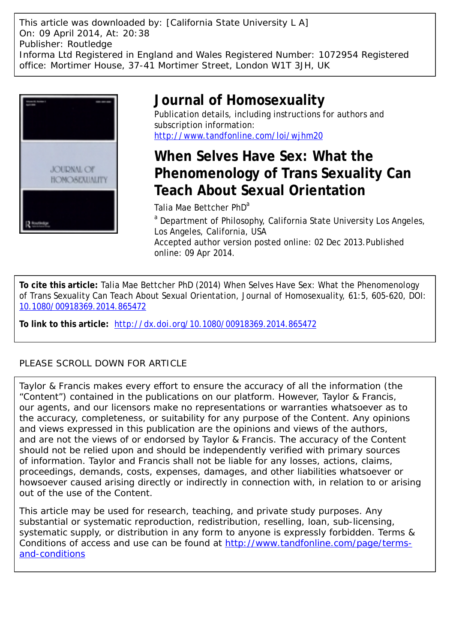This article was downloaded by: [California State University L A] On: 09 April 2014, At: 20:38 Publisher: Routledge Informa Ltd Registered in England and Wales Registered Number: 1072954 Registered office: Mortimer House, 37-41 Mortimer Street, London W1T 3JH, UK



# **Journal of Homosexuality**

Publication details, including instructions for authors and subscription information: <http://www.tandfonline.com/loi/wjhm20>

# **When Selves Have Sex: What the Phenomenology of Trans Sexuality Can Teach About Sexual Orientation**

Talia Mae Bettcher PhD<sup>a</sup>

<sup>a</sup> Department of Philosophy, California State University Los Angeles, Los Angeles, California, USA Accepted author version posted online: 02 Dec 2013.Published online: 09 Apr 2014.

**To cite this article:** Talia Mae Bettcher PhD (2014) When Selves Have Sex: What the Phenomenology of Trans Sexuality Can Teach About Sexual Orientation, Journal of Homosexuality, 61:5, 605-620, DOI: [10.1080/00918369.2014.865472](http://www.tandfonline.com/action/showCitFormats?doi=10.1080/00918369.2014.865472)

**To link to this article:** <http://dx.doi.org/10.1080/00918369.2014.865472>

## PLEASE SCROLL DOWN FOR ARTICLE

Taylor & Francis makes every effort to ensure the accuracy of all the information (the "Content") contained in the publications on our platform. However, Taylor & Francis, our agents, and our licensors make no representations or warranties whatsoever as to the accuracy, completeness, or suitability for any purpose of the Content. Any opinions and views expressed in this publication are the opinions and views of the authors, and are not the views of or endorsed by Taylor & Francis. The accuracy of the Content should not be relied upon and should be independently verified with primary sources of information. Taylor and Francis shall not be liable for any losses, actions, claims, proceedings, demands, costs, expenses, damages, and other liabilities whatsoever or howsoever caused arising directly or indirectly in connection with, in relation to or arising out of the use of the Content.

This article may be used for research, teaching, and private study purposes. Any substantial or systematic reproduction, redistribution, reselling, loan, sub-licensing, systematic supply, or distribution in any form to anyone is expressly forbidden. Terms & Conditions of access and use can be found at [http://www.tandfonline.com/page/terms](http://www.tandfonline.com/page/terms-and-conditions)[and-conditions](http://www.tandfonline.com/page/terms-and-conditions)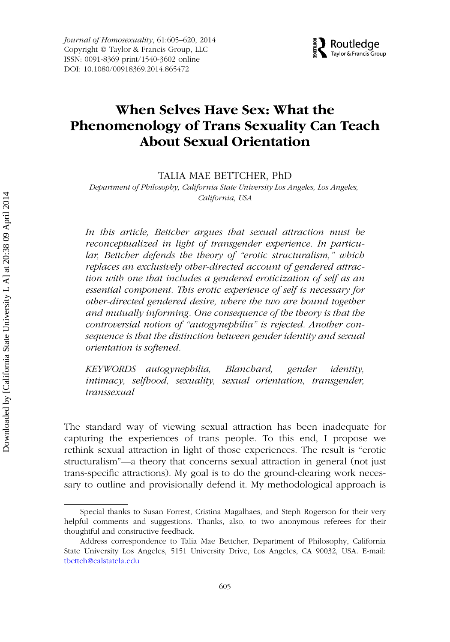*Journal of Homosexuality*, 61:605–620, 2014 Copyright © Taylor & Francis Group, LLC ISSN: 0091-8369 print/1540-3602 online DOI: 10.1080/00918369.2014.865472

# **When Selves Have Sex: What the Phenomenology of Trans Sexuality Can Teach About Sexual Orientation**

**EXP** Routledge Taylor & Francis Group

TALIA MAE BETTCHER, PhD

*Department of Philosophy, California State University Los Angeles, Los Angeles, California, USA*

*In this article, Bettcher argues that sexual attraction must be reconceptualized in light of transgender experience. In particular, Bettcher defends the theory of "erotic structuralism," which replaces an exclusively other-directed account of gendered attraction with one that includes a gendered eroticization of self as an essential component. This erotic experience of self is necessary for other-directed gendered desire, where the two are bound together and mutually informing. One consequence of the theory is that the controversial notion of "autogynephilia" is rejected. Another consequence is that the distinction between gender identity and sexual orientation is softened.*

*KEYWORDS autogynephilia, Blanchard, gender identity, intimacy, selfhood, sexuality, sexual orientation, transgender, transsexual*

The standard way of viewing sexual attraction has been inadequate for capturing the experiences of trans people. To this end, I propose we rethink sexual attraction in light of those experiences. The result is "erotic structuralism"—a theory that concerns sexual attraction in general (not just trans-specific attractions). My goal is to do the ground-clearing work necessary to outline and provisionally defend it. My methodological approach is

Special thanks to Susan Forrest, Cristina Magalhaes, and Steph Rogerson for their very helpful comments and suggestions. Thanks, also, to two anonymous referees for their thoughtful and constructive feedback.

Address correspondence to Talia Mae Bettcher, Department of Philosophy, California State University Los Angeles, 5151 University Drive, Los Angeles, CA 90032, USA. E-mail: [tbettch@calstatela.edu](mailto:tbettch@calstatela.edu)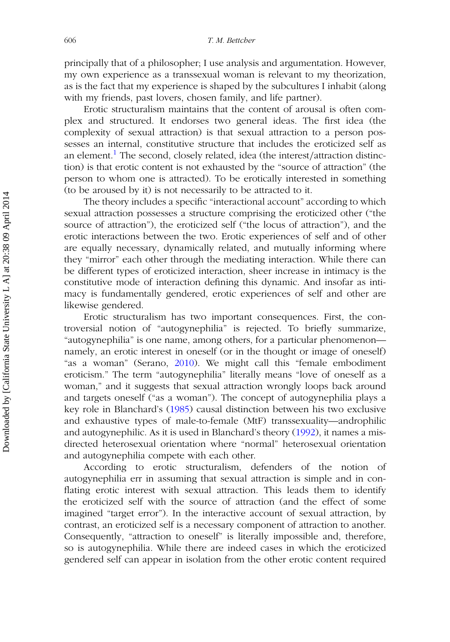principally that of a philosopher; I use analysis and argumentation. However, my own experience as a transsexual woman is relevant to my theorization, as is the fact that my experience is shaped by the subcultures I inhabit (along with my friends, past lovers, chosen family, and life partner).

Erotic structuralism maintains that the content of arousal is often complex and structured. It endorses two general ideas. The first idea (the complexity of sexual attraction) is that sexual attraction to a person possesses an internal, constitutive structure that includes the eroticized self as an element.[1](#page-15-0) The second, closely related, idea (the interest*/*attraction distinction) is that erotic content is not exhausted by the "source of attraction" (the person to whom one is attracted). To be erotically interested in something (to be aroused by it) is not necessarily to be attracted to it.

The theory includes a specific "interactional account" according to which sexual attraction possesses a structure comprising the eroticized other ("the source of attraction"), the eroticized self ("the locus of attraction"), and the erotic interactions between the two. Erotic experiences of self and of other are equally necessary, dynamically related, and mutually informing where they "mirror" each other through the mediating interaction. While there can be different types of eroticized interaction, sheer increase in intimacy is the constitutive mode of interaction defining this dynamic. And insofar as intimacy is fundamentally gendered, erotic experiences of self and other are likewise gendered.

Erotic structuralism has two important consequences. First, the controversial notion of "autogynephilia" is rejected. To briefly summarize, "autogynephilia" is one name, among others, for a particular phenomenon namely, an erotic interest in oneself (or in the thought or image of oneself) "as a woman" (Serano, [2010\)](#page-16-0). We might call this "female embodiment eroticism." The term "autogynephilia" literally means "love of oneself as a woman," and it suggests that sexual attraction wrongly loops back around and targets oneself ("as a woman"). The concept of autogynephilia plays a key role in Blanchard's [\(1985\)](#page-16-1) causal distinction between his two exclusive and exhaustive types of male-to-female (MtF) transsexuality—androphilic and autogynephilic. As it is used in Blanchard's theory [\(1992\)](#page-16-2), it names a misdirected heterosexual orientation where "normal" heterosexual orientation and autogynephilia compete with each other.

According to erotic structuralism, defenders of the notion of autogynephilia err in assuming that sexual attraction is simple and in conflating erotic interest with sexual attraction. This leads them to identify the eroticized self with the source of attraction (and the effect of some imagined "target error"). In the interactive account of sexual attraction, by contrast, an eroticized self is a necessary component of attraction to another. Consequently, "attraction to oneself" is literally impossible and, therefore, so is autogynephilia. While there are indeed cases in which the eroticized gendered self can appear in isolation from the other erotic content required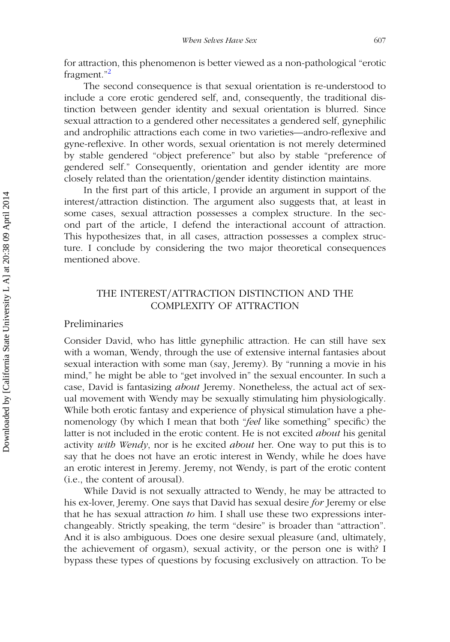for attraction, this phenomenon is better viewed as a non-pathological "erotic fragment.["2](#page-15-1)

The second consequence is that sexual orientation is re-understood to include a core erotic gendered self, and, consequently, the traditional distinction between gender identity and sexual orientation is blurred. Since sexual attraction to a gendered other necessitates a gendered self, gynephilic and androphilic attractions each come in two varieties—andro-reflexive and gyne-reflexive. In other words, sexual orientation is not merely determined by stable gendered "object preference" but also by stable "preference of gendered self." Consequently, orientation and gender identity are more closely related than the orientation*/*gender identity distinction maintains.

In the first part of this article, I provide an argument in support of the interest*/*attraction distinction. The argument also suggests that, at least in some cases, sexual attraction possesses a complex structure. In the second part of the article, I defend the interactional account of attraction. This hypothesizes that, in all cases, attraction possesses a complex structure. I conclude by considering the two major theoretical consequences mentioned above.

### THE INTEREST*/*ATTRACTION DISTINCTION AND THE COMPLEXITY OF ATTRACTION

#### Preliminaries

Consider David, who has little gynephilic attraction. He can still have sex with a woman, Wendy, through the use of extensive internal fantasies about sexual interaction with some man (say, Jeremy). By "running a movie in his mind," he might be able to "get involved in" the sexual encounter. In such a case, David is fantasizing *about* Jeremy. Nonetheless, the actual act of sexual movement with Wendy may be sexually stimulating him physiologically. While both erotic fantasy and experience of physical stimulation have a phenomenology (by which I mean that both "*feel* like something" specific) the latter is not included in the erotic content. He is not excited *about* his genital activity *with Wendy*, nor is he excited *about* her. One way to put this is to say that he does not have an erotic interest in Wendy, while he does have an erotic interest in Jeremy. Jeremy, not Wendy, is part of the erotic content (i.e., the content of arousal).

While David is not sexually attracted to Wendy, he may be attracted to his ex-lover, Jeremy. One says that David has sexual desire *for* Jeremy or else that he has sexual attraction *to* him. I shall use these two expressions interchangeably. Strictly speaking, the term "desire" is broader than "attraction". And it is also ambiguous. Does one desire sexual pleasure (and, ultimately, the achievement of orgasm), sexual activity, or the person one is with? I bypass these types of questions by focusing exclusively on attraction. To be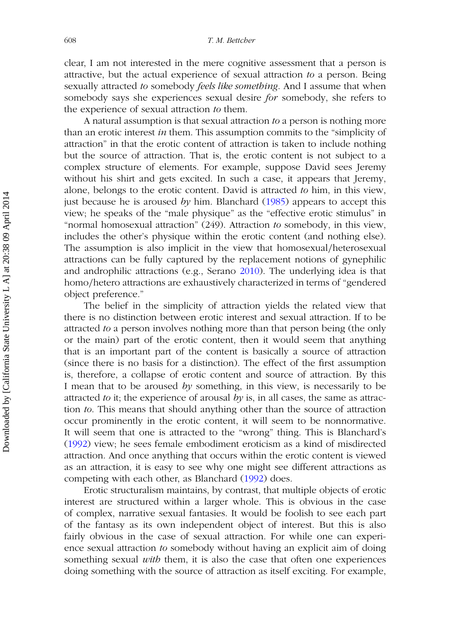clear, I am not interested in the mere cognitive assessment that a person is attractive, but the actual experience of sexual attraction *to* a person. Being sexually attracted *to* somebody *feels like something*. And I assume that when somebody says she experiences sexual desire *for* somebody, she refers to the experience of sexual attraction *to* them.

A natural assumption is that sexual attraction *to* a person is nothing more than an erotic interest *in* them. This assumption commits to the "simplicity of attraction" in that the erotic content of attraction is taken to include nothing but the source of attraction. That is, the erotic content is not subject to a complex structure of elements. For example, suppose David sees Jeremy without his shirt and gets excited. In such a case, it appears that Jeremy, alone, belongs to the erotic content. David is attracted *to* him, in this view, just because he is aroused *by* him. Blanchard [\(1985\)](#page-16-1) appears to accept this view; he speaks of the "male physique" as the "effective erotic stimulus" in "normal homosexual attraction" (249). Attraction *to* somebody, in this view, includes the other's physique within the erotic content (and nothing else). The assumption is also implicit in the view that homosexual*/*heterosexual attractions can be fully captured by the replacement notions of gynephilic and androphilic attractions (e.g., Serano [2010\)](#page-16-0). The underlying idea is that homo*/*hetero attractions are exhaustively characterized in terms of "gendered object preference."

The belief in the simplicity of attraction yields the related view that there is no distinction between erotic interest and sexual attraction. If to be attracted *to* a person involves nothing more than that person being (the only or the main) part of the erotic content, then it would seem that anything that is an important part of the content is basically a source of attraction (since there is no basis for a distinction). The effect of the first assumption is, therefore, a collapse of erotic content and source of attraction. By this I mean that to be aroused *by* something, in this view, is necessarily to be attracted *to* it; the experience of arousal *by* is, in all cases, the same as attraction *to*. This means that should anything other than the source of attraction occur prominently in the erotic content, it will seem to be nonnormative. It will seem that one is attracted to the "wrong" thing. This is Blanchard's [\(1992\)](#page-16-2) view; he sees female embodiment eroticism as a kind of misdirected attraction. And once anything that occurs within the erotic content is viewed as an attraction, it is easy to see why one might see different attractions as competing with each other, as Blanchard [\(1992\)](#page-16-2) does.

Erotic structuralism maintains, by contrast, that multiple objects of erotic interest are structured within a larger whole. This is obvious in the case of complex, narrative sexual fantasies. It would be foolish to see each part of the fantasy as its own independent object of interest. But this is also fairly obvious in the case of sexual attraction. For while one can experience sexual attraction *to* somebody without having an explicit aim of doing something sexual *with* them, it is also the case that often one experiences doing something with the source of attraction as itself exciting. For example,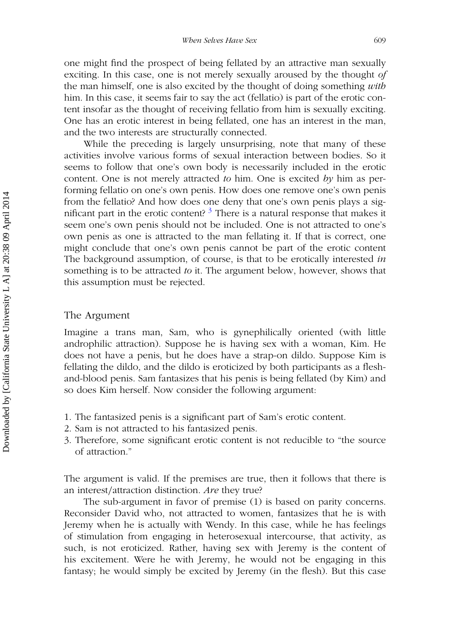one might find the prospect of being fellated by an attractive man sexually exciting. In this case, one is not merely sexually aroused by the thought *of* the man himself, one is also excited by the thought of doing something *with* him. In this case, it seems fair to say the act (fellatio) is part of the erotic content insofar as the thought of receiving fellatio from him is sexually exciting. One has an erotic interest in being fellated, one has an interest in the man, and the two interests are structurally connected.

While the preceding is largely unsurprising, note that many of these activities involve various forms of sexual interaction between bodies. So it seems to follow that one's own body is necessarily included in the erotic content. One is not merely attracted *to* him. One is excited *by* him as performing fellatio on one's own penis. How does one remove one's own penis from the fellatio? And how does one deny that one's own penis plays a significant part in the erotic content?  $3$  There is a natural response that makes it seem one's own penis should not be included. One is not attracted to one's own penis as one is attracted to the man fellating it. If that is correct, one might conclude that one's own penis cannot be part of the erotic content The background assumption, of course, is that to be erotically interested *in* something is to be attracted *to* it. The argument below, however, shows that this assumption must be rejected.

#### The Argument

Imagine a trans man, Sam, who is gynephilically oriented (with little androphilic attraction). Suppose he is having sex with a woman, Kim. He does not have a penis, but he does have a strap-on dildo. Suppose Kim is fellating the dildo, and the dildo is eroticized by both participants as a fleshand-blood penis. Sam fantasizes that his penis is being fellated (by Kim) and so does Kim herself. Now consider the following argument:

- 1. The fantasized penis is a significant part of Sam's erotic content.
- 2. Sam is not attracted to his fantasized penis.
- 3. Therefore, some significant erotic content is not reducible to "the source of attraction."

The argument is valid. If the premises are true, then it follows that there is an interest*/*attraction distinction. *Are* they true?

The sub-argument in favor of premise (1) is based on parity concerns. Reconsider David who, not attracted to women, fantasizes that he is with Jeremy when he is actually with Wendy. In this case, while he has feelings of stimulation from engaging in heterosexual intercourse, that activity, as such, is not eroticized. Rather, having sex with Jeremy is the content of his excitement. Were he with Jeremy, he would not be engaging in this fantasy; he would simply be excited by Jeremy (in the flesh). But this case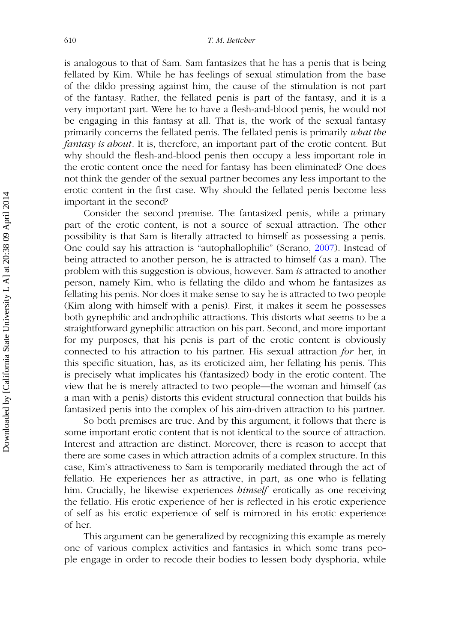is analogous to that of Sam. Sam fantasizes that he has a penis that is being fellated by Kim. While he has feelings of sexual stimulation from the base of the dildo pressing against him, the cause of the stimulation is not part of the fantasy. Rather, the fellated penis is part of the fantasy, and it is a very important part. Were he to have a flesh-and-blood penis, he would not be engaging in this fantasy at all. That is, the work of the sexual fantasy primarily concerns the fellated penis. The fellated penis is primarily *what the fantasy is about*. It is, therefore, an important part of the erotic content. But why should the flesh-and-blood penis then occupy a less important role in the erotic content once the need for fantasy has been eliminated? One does not think the gender of the sexual partner becomes any less important to the erotic content in the first case. Why should the fellated penis become less important in the second?

Consider the second premise. The fantasized penis, while a primary part of the erotic content, is not a source of sexual attraction. The other possibility is that Sam is literally attracted to himself as possessing a penis. One could say his attraction is "autophallophilic" (Serano, [2007\)](#page-16-3). Instead of being attracted to another person, he is attracted to himself (as a man). The problem with this suggestion is obvious, however. Sam *is* attracted to another person, namely Kim, who is fellating the dildo and whom he fantasizes as fellating his penis. Nor does it make sense to say he is attracted to two people (Kim along with himself with a penis). First, it makes it seem he possesses both gynephilic and androphilic attractions. This distorts what seems to be a straightforward gynephilic attraction on his part. Second, and more important for my purposes, that his penis is part of the erotic content is obviously connected to his attraction to his partner. His sexual attraction *for* her, in this specific situation, has, as its eroticized aim, her fellating his penis. This is precisely what implicates his (fantasized) body in the erotic content. The view that he is merely attracted to two people—the woman and himself (as a man with a penis) distorts this evident structural connection that builds his fantasized penis into the complex of his aim-driven attraction to his partner.

So both premises are true. And by this argument, it follows that there is some important erotic content that is not identical to the source of attraction. Interest and attraction are distinct. Moreover, there is reason to accept that there are some cases in which attraction admits of a complex structure. In this case, Kim's attractiveness to Sam is temporarily mediated through the act of fellatio. He experiences her as attractive, in part, as one who is fellating him. Crucially, he likewise experiences *himself* erotically as one receiving the fellatio. His erotic experience of her is reflected in his erotic experience of self as his erotic experience of self is mirrored in his erotic experience of her.

This argument can be generalized by recognizing this example as merely one of various complex activities and fantasies in which some trans people engage in order to recode their bodies to lessen body dysphoria, while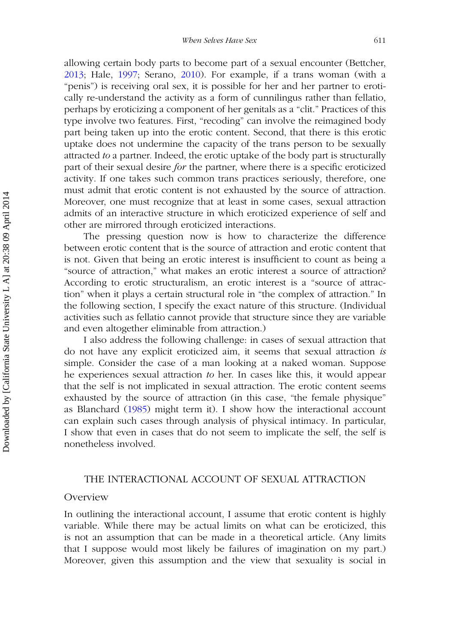allowing certain body parts to become part of a sexual encounter (Bettcher, [2013;](#page-16-4) Hale, [1997;](#page-16-5) Serano, [2010\)](#page-16-0). For example, if a trans woman (with a "penis") is receiving oral sex, it is possible for her and her partner to erotically re-understand the activity as a form of cunnilingus rather than fellatio, perhaps by eroticizing a component of her genitals as a "clit." Practices of this type involve two features. First, "recoding" can involve the reimagined body part being taken up into the erotic content. Second, that there is this erotic uptake does not undermine the capacity of the trans person to be sexually attracted *to* a partner. Indeed, the erotic uptake of the body part is structurally part of their sexual desire *for* the partner, where there is a specific eroticized activity. If one takes such common trans practices seriously, therefore, one must admit that erotic content is not exhausted by the source of attraction. Moreover, one must recognize that at least in some cases, sexual attraction admits of an interactive structure in which eroticized experience of self and other are mirrored through eroticized interactions.

The pressing question now is how to characterize the difference between erotic content that is the source of attraction and erotic content that is not. Given that being an erotic interest is insufficient to count as being a "source of attraction," what makes an erotic interest a source of attraction? According to erotic structuralism, an erotic interest is a "source of attraction" when it plays a certain structural role in "the complex of attraction." In the following section, I specify the exact nature of this structure. (Individual activities such as fellatio cannot provide that structure since they are variable and even altogether eliminable from attraction.)

I also address the following challenge: in cases of sexual attraction that do not have any explicit eroticized aim, it seems that sexual attraction *is* simple. Consider the case of a man looking at a naked woman. Suppose he experiences sexual attraction *to* her. In cases like this, it would appear that the self is not implicated in sexual attraction. The erotic content seems exhausted by the source of attraction (in this case, "the female physique" as Blanchard [\(1985\)](#page-16-1) might term it). I show how the interactional account can explain such cases through analysis of physical intimacy. In particular, I show that even in cases that do not seem to implicate the self, the self is nonetheless involved.

#### THE INTERACTIONAL ACCOUNT OF SEXUAL ATTRACTION

#### Overview

In outlining the interactional account, I assume that erotic content is highly variable. While there may be actual limits on what can be eroticized, this is not an assumption that can be made in a theoretical article. (Any limits that I suppose would most likely be failures of imagination on my part.) Moreover, given this assumption and the view that sexuality is social in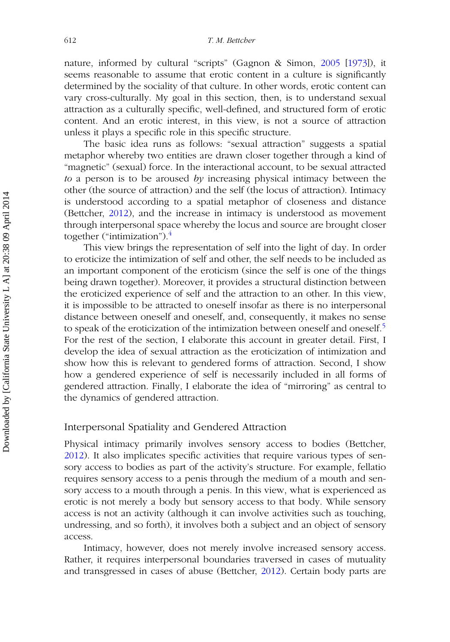nature, informed by cultural "scripts" (Gagnon & Simon, [2005](#page-16-6) [\[1973\]](#page-16-6)), it seems reasonable to assume that erotic content in a culture is significantly determined by the sociality of that culture. In other words, erotic content can vary cross-culturally. My goal in this section, then, is to understand sexual attraction as a culturally specific, well-defined, and structured form of erotic content. And an erotic interest, in this view, is not a source of attraction unless it plays a specific role in this specific structure.

The basic idea runs as follows: "sexual attraction" suggests a spatial metaphor whereby two entities are drawn closer together through a kind of "magnetic" (sexual) force. In the interactional account, to be sexual attracted *to* a person is to be aroused *by* increasing physical intimacy between the other (the source of attraction) and the self (the locus of attraction). Intimacy is understood according to a spatial metaphor of closeness and distance (Bettcher, [2012\)](#page-16-7), and the increase in intimacy is understood as movement through interpersonal space whereby the locus and source are brought closer together ("intimization").<sup>[4](#page-15-3)</sup>

This view brings the representation of self into the light of day. In order to eroticize the intimization of self and other, the self needs to be included as an important component of the eroticism (since the self is one of the things being drawn together). Moreover, it provides a structural distinction between the eroticized experience of self and the attraction to an other. In this view, it is impossible to be attracted to oneself insofar as there is no interpersonal distance between oneself and oneself, and, consequently, it makes no sense to speak of the eroticization of the intimization between oneself and oneself.<sup>[5](#page-15-4)</sup> For the rest of the section, I elaborate this account in greater detail. First, I develop the idea of sexual attraction as the eroticization of intimization and show how this is relevant to gendered forms of attraction. Second, I show how a gendered experience of self is necessarily included in all forms of gendered attraction. Finally, I elaborate the idea of "mirroring" as central to the dynamics of gendered attraction.

#### Interpersonal Spatiality and Gendered Attraction

Physical intimacy primarily involves sensory access to bodies (Bettcher, [2012\)](#page-16-7). It also implicates specific activities that require various types of sensory access to bodies as part of the activity's structure. For example, fellatio requires sensory access to a penis through the medium of a mouth and sensory access to a mouth through a penis. In this view, what is experienced as erotic is not merely a body but sensory access to that body. While sensory access is not an activity (although it can involve activities such as touching, undressing, and so forth), it involves both a subject and an object of sensory access.

Intimacy, however, does not merely involve increased sensory access. Rather, it requires interpersonal boundaries traversed in cases of mutuality and transgressed in cases of abuse (Bettcher, [2012\)](#page-16-7). Certain body parts are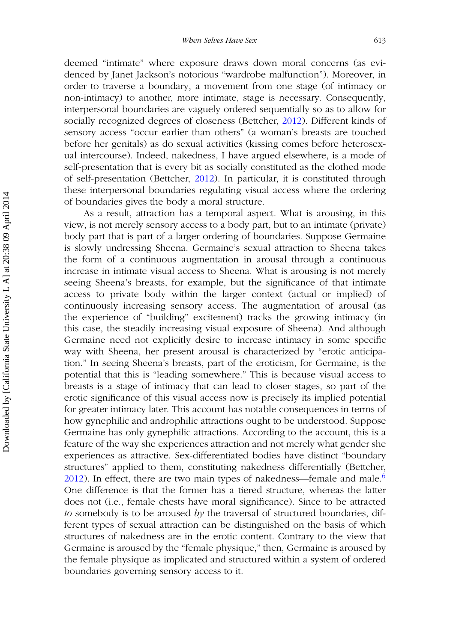deemed "intimate" where exposure draws down moral concerns (as evidenced by Janet Jackson's notorious "wardrobe malfunction"). Moreover, in order to traverse a boundary, a movement from one stage (of intimacy or non-intimacy) to another, more intimate, stage is necessary. Consequently, interpersonal boundaries are vaguely ordered sequentially so as to allow for socially recognized degrees of closeness (Bettcher, [2012\)](#page-16-7). Different kinds of sensory access "occur earlier than others" (a woman's breasts are touched before her genitals) as do sexual activities (kissing comes before heterosexual intercourse). Indeed, nakedness, I have argued elsewhere, is a mode of self-presentation that is every bit as socially constituted as the clothed mode of self-presentation (Bettcher, [2012\)](#page-16-7). In particular, it is constituted through these interpersonal boundaries regulating visual access where the ordering of boundaries gives the body a moral structure.

As a result, attraction has a temporal aspect. What is arousing, in this view, is not merely sensory access to a body part, but to an intimate (private) body part that is part of a larger ordering of boundaries. Suppose Germaine is slowly undressing Sheena. Germaine's sexual attraction to Sheena takes the form of a continuous augmentation in arousal through a continuous increase in intimate visual access to Sheena. What is arousing is not merely seeing Sheena's breasts, for example, but the significance of that intimate access to private body within the larger context (actual or implied) of continuously increasing sensory access. The augmentation of arousal (as the experience of "building" excitement) tracks the growing intimacy (in this case, the steadily increasing visual exposure of Sheena). And although Germaine need not explicitly desire to increase intimacy in some specific way with Sheena, her present arousal is characterized by "erotic anticipation." In seeing Sheena's breasts, part of the eroticism, for Germaine, is the potential that this is "leading somewhere." This is because visual access to breasts is a stage of intimacy that can lead to closer stages, so part of the erotic significance of this visual access now is precisely its implied potential for greater intimacy later. This account has notable consequences in terms of how gynephilic and androphilic attractions ought to be understood. Suppose Germaine has only gynephilic attractions. According to the account, this is a feature of the way she experiences attraction and not merely what gender she experiences as attractive. Sex-differentiated bodies have distinct "boundary structures" applied to them, constituting nakedness differentially (Bettcher, [2012\)](#page-16-7). In effect, there are two main types of nakedness—female and male.<sup>[6](#page-15-5)</sup> One difference is that the former has a tiered structure, whereas the latter does not (i.e., female chests have moral significance). Since to be attracted *to* somebody is to be aroused *by* the traversal of structured boundaries, different types of sexual attraction can be distinguished on the basis of which structures of nakedness are in the erotic content. Contrary to the view that Germaine is aroused by the "female physique," then, Germaine is aroused by the female physique as implicated and structured within a system of ordered boundaries governing sensory access to it.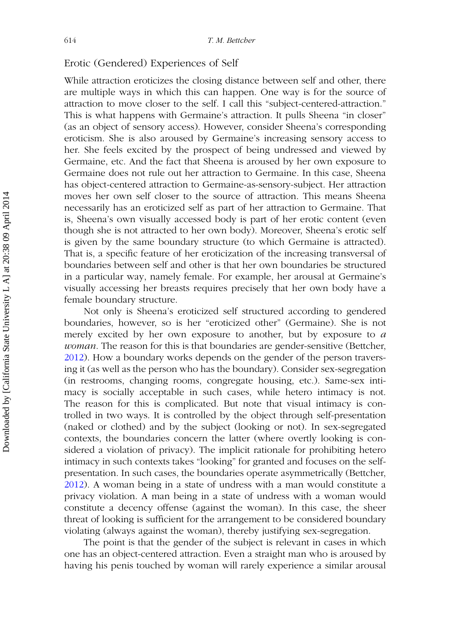#### Erotic (Gendered) Experiences of Self

While attraction eroticizes the closing distance between self and other, there are multiple ways in which this can happen. One way is for the source of attraction to move closer to the self. I call this "subject-centered-attraction." This is what happens with Germaine's attraction. It pulls Sheena "in closer" (as an object of sensory access). However, consider Sheena's corresponding eroticism. She is also aroused by Germaine's increasing sensory access to her. She feels excited by the prospect of being undressed and viewed by Germaine, etc. And the fact that Sheena is aroused by her own exposure to Germaine does not rule out her attraction to Germaine. In this case, Sheena has object-centered attraction to Germaine-as-sensory-subject. Her attraction moves her own self closer to the source of attraction. This means Sheena necessarily has an eroticized self as part of her attraction to Germaine. That is, Sheena's own visually accessed body is part of her erotic content (even though she is not attracted to her own body). Moreover, Sheena's erotic self is given by the same boundary structure (to which Germaine is attracted). That is, a specific feature of her eroticization of the increasing transversal of boundaries between self and other is that her own boundaries be structured in a particular way, namely female. For example, her arousal at Germaine's visually accessing her breasts requires precisely that her own body have a female boundary structure.

Not only is Sheena's eroticized self structured according to gendered boundaries, however, so is her "eroticized other" (Germaine). She is not merely excited by her own exposure to another, but by exposure to *a woman*. The reason for this is that boundaries are gender-sensitive (Bettcher, [2012\)](#page-16-7). How a boundary works depends on the gender of the person traversing it (as well as the person who has the boundary). Consider sex-segregation (in restrooms, changing rooms, congregate housing, etc.). Same-sex intimacy is socially acceptable in such cases, while hetero intimacy is not. The reason for this is complicated. But note that visual intimacy is controlled in two ways. It is controlled by the object through self-presentation (naked or clothed) and by the subject (looking or not). In sex-segregated contexts, the boundaries concern the latter (where overtly looking is considered a violation of privacy). The implicit rationale for prohibiting hetero intimacy in such contexts takes "looking" for granted and focuses on the selfpresentation. In such cases, the boundaries operate asymmetrically (Bettcher, [2012\)](#page-16-7). A woman being in a state of undress with a man would constitute a privacy violation. A man being in a state of undress with a woman would constitute a decency offense (against the woman). In this case, the sheer threat of looking is sufficient for the arrangement to be considered boundary violating (always against the woman), thereby justifying sex-segregation.

The point is that the gender of the subject is relevant in cases in which one has an object-centered attraction. Even a straight man who is aroused by having his penis touched by woman will rarely experience a similar arousal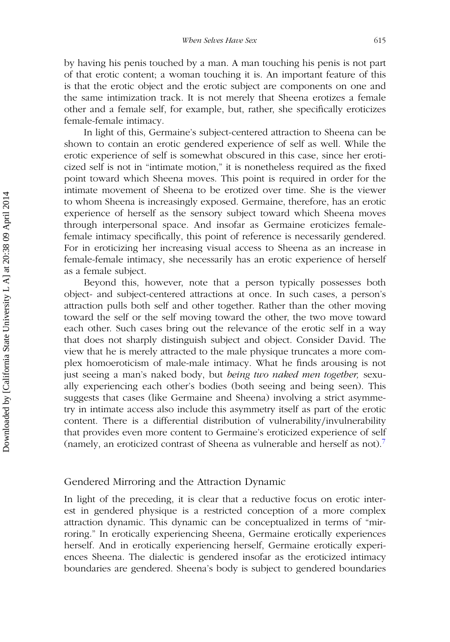by having his penis touched by a man. A man touching his penis is not part of that erotic content; a woman touching it is. An important feature of this is that the erotic object and the erotic subject are components on one and the same intimization track. It is not merely that Sheena erotizes a female other and a female self, for example, but, rather, she specifically eroticizes female-female intimacy.

In light of this, Germaine's subject-centered attraction to Sheena can be shown to contain an erotic gendered experience of self as well. While the erotic experience of self is somewhat obscured in this case, since her eroticized self is not in "intimate motion," it is nonetheless required as the fixed point toward which Sheena moves. This point is required in order for the intimate movement of Sheena to be erotized over time. She is the viewer to whom Sheena is increasingly exposed. Germaine, therefore, has an erotic experience of herself as the sensory subject toward which Sheena moves through interpersonal space. And insofar as Germaine eroticizes femalefemale intimacy specifically, this point of reference is necessarily gendered. For in eroticizing her increasing visual access to Sheena as an increase in female-female intimacy, she necessarily has an erotic experience of herself as a female subject.

Beyond this, however, note that a person typically possesses both object- and subject-centered attractions at once. In such cases, a person's attraction pulls both self and other together. Rather than the other moving toward the self or the self moving toward the other, the two move toward each other. Such cases bring out the relevance of the erotic self in a way that does not sharply distinguish subject and object. Consider David. The view that he is merely attracted to the male physique truncates a more complex homoeroticism of male-male intimacy. What he finds arousing is not just seeing a man's naked body, but *being two naked men together,* sexually experiencing each other's bodies (both seeing and being seen). This suggests that cases (like Germaine and Sheena) involving a strict asymmetry in intimate access also include this asymmetry itself as part of the erotic content. There is a differential distribution of vulnerability*/*invulnerability that provides even more content to Germaine's eroticized experience of self (namely, an eroticized contrast of Sheena as vulnerable and herself as not).<sup>[7](#page-15-6)</sup>

#### Gendered Mirroring and the Attraction Dynamic

In light of the preceding, it is clear that a reductive focus on erotic interest in gendered physique is a restricted conception of a more complex attraction dynamic. This dynamic can be conceptualized in terms of "mirroring." In erotically experiencing Sheena, Germaine erotically experiences herself. And in erotically experiencing herself, Germaine erotically experiences Sheena. The dialectic is gendered insofar as the eroticized intimacy boundaries are gendered. Sheena's body is subject to gendered boundaries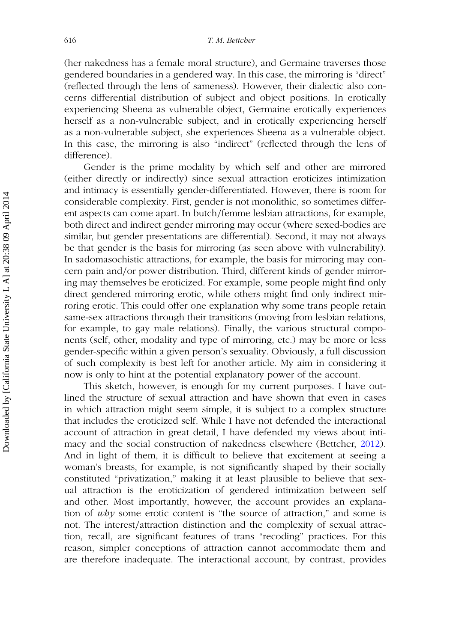(her nakedness has a female moral structure), and Germaine traverses those gendered boundaries in a gendered way. In this case, the mirroring is "direct" (reflected through the lens of sameness). However, their dialectic also concerns differential distribution of subject and object positions. In erotically experiencing Sheena as vulnerable object, Germaine erotically experiences herself as a non-vulnerable subject, and in erotically experiencing herself as a non-vulnerable subject, she experiences Sheena as a vulnerable object. In this case, the mirroring is also "indirect" (reflected through the lens of difference).

Gender is the prime modality by which self and other are mirrored (either directly or indirectly) since sexual attraction eroticizes intimization and intimacy is essentially gender-differentiated. However, there is room for considerable complexity. First, gender is not monolithic, so sometimes different aspects can come apart. In butch*/*femme lesbian attractions, for example, both direct and indirect gender mirroring may occur (where sexed-bodies are similar, but gender presentations are differential). Second, it may not always be that gender is the basis for mirroring (as seen above with vulnerability). In sadomasochistic attractions, for example, the basis for mirroring may concern pain and*/*or power distribution. Third, different kinds of gender mirroring may themselves be eroticized. For example, some people might find only direct gendered mirroring erotic, while others might find only indirect mirroring erotic. This could offer one explanation why some trans people retain same-sex attractions through their transitions (moving from lesbian relations, for example, to gay male relations). Finally, the various structural components (self, other, modality and type of mirroring, etc.) may be more or less gender-specific within a given person's sexuality. Obviously, a full discussion of such complexity is best left for another article. My aim in considering it now is only to hint at the potential explanatory power of the account.

This sketch, however, is enough for my current purposes. I have outlined the structure of sexual attraction and have shown that even in cases in which attraction might seem simple, it is subject to a complex structure that includes the eroticized self. While I have not defended the interactional account of attraction in great detail, I have defended my views about intimacy and the social construction of nakedness elsewhere (Bettcher, [2012\)](#page-16-7). And in light of them, it is difficult to believe that excitement at seeing a woman's breasts, for example, is not significantly shaped by their socially constituted "privatization," making it at least plausible to believe that sexual attraction is the eroticization of gendered intimization between self and other. Most importantly, however, the account provides an explanation of *why* some erotic content is "the source of attraction," and some is not. The interest*/*attraction distinction and the complexity of sexual attraction, recall, are significant features of trans "recoding" practices. For this reason, simpler conceptions of attraction cannot accommodate them and are therefore inadequate. The interactional account, by contrast, provides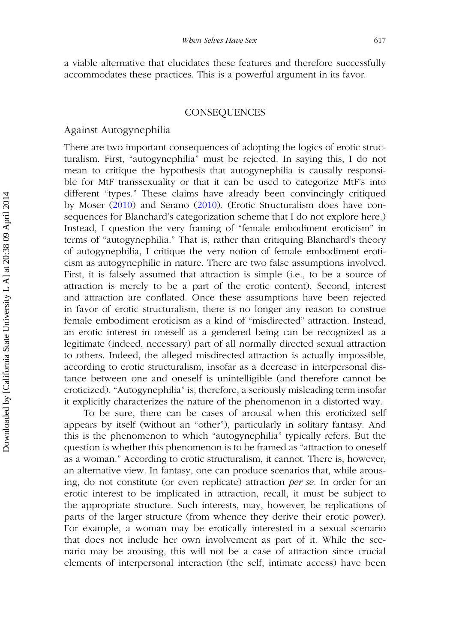a viable alternative that elucidates these features and therefore successfully accommodates these practices. This is a powerful argument in its favor.

#### **CONSEQUENCES**

#### Against Autogynephilia

There are two important consequences of adopting the logics of erotic structuralism. First, "autogynephilia" must be rejected. In saying this, I do not mean to critique the hypothesis that autogynephilia is causally responsible for MtF transsexuality or that it can be used to categorize MtF's into different "types." These claims have already been convincingly critiqued by Moser [\(2010\)](#page-16-8) and Serano [\(2010\)](#page-16-0). (Erotic Structuralism does have consequences for Blanchard's categorization scheme that I do not explore here.) Instead, I question the very framing of "female embodiment eroticism" in terms of "autogynephilia." That is, rather than critiquing Blanchard's theory of autogynephilia, I critique the very notion of female embodiment eroticism as autogynephilic in nature. There are two false assumptions involved. First, it is falsely assumed that attraction is simple (i.e., to be a source of attraction is merely to be a part of the erotic content). Second, interest and attraction are conflated. Once these assumptions have been rejected in favor of erotic structuralism, there is no longer any reason to construe female embodiment eroticism as a kind of "misdirected" attraction. Instead, an erotic interest in oneself as a gendered being can be recognized as a legitimate (indeed, necessary) part of all normally directed sexual attraction to others. Indeed, the alleged misdirected attraction is actually impossible, according to erotic structuralism, insofar as a decrease in interpersonal distance between one and oneself is unintelligible (and therefore cannot be eroticized). "Autogynephilia" is, therefore, a seriously misleading term insofar it explicitly characterizes the nature of the phenomenon in a distorted way.

To be sure, there can be cases of arousal when this eroticized self appears by itself (without an "other"), particularly in solitary fantasy. And this is the phenomenon to which "autogynephilia" typically refers. But the question is whether this phenomenon is to be framed as "attraction to oneself as a woman." According to erotic structuralism, it cannot. There is, however, an alternative view. In fantasy, one can produce scenarios that, while arousing, do not constitute (or even replicate) attraction *per se*. In order for an erotic interest to be implicated in attraction, recall, it must be subject to the appropriate structure. Such interests, may, however, be replications of parts of the larger structure (from whence they derive their erotic power). For example, a woman may be erotically interested in a sexual scenario that does not include her own involvement as part of it. While the scenario may be arousing, this will not be a case of attraction since crucial elements of interpersonal interaction (the self, intimate access) have been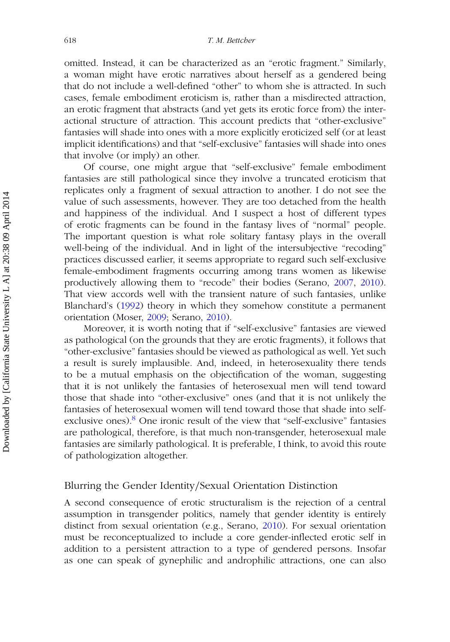omitted. Instead, it can be characterized as an "erotic fragment." Similarly, a woman might have erotic narratives about herself as a gendered being that do not include a well-defined "other" to whom she is attracted. In such cases, female embodiment eroticism is, rather than a misdirected attraction, an erotic fragment that abstracts (and yet gets its erotic force from) the interactional structure of attraction. This account predicts that "other-exclusive" fantasies will shade into ones with a more explicitly eroticized self (or at least implicit identifications) and that "self-exclusive" fantasies will shade into ones that involve (or imply) an other.

Of course, one might argue that "self-exclusive" female embodiment fantasies are still pathological since they involve a truncated eroticism that replicates only a fragment of sexual attraction to another. I do not see the value of such assessments, however. They are too detached from the health and happiness of the individual. And I suspect a host of different types of erotic fragments can be found in the fantasy lives of "normal" people. The important question is what role solitary fantasy plays in the overall well-being of the individual. And in light of the intersubjective "recoding" practices discussed earlier, it seems appropriate to regard such self-exclusive female-embodiment fragments occurring among trans women as likewise productively allowing them to "recode" their bodies (Serano, [2007,](#page-16-3) [2010\)](#page-16-3). That view accords well with the transient nature of such fantasies, unlike Blanchard's [\(1992\)](#page-16-2) theory in which they somehow constitute a permanent orientation (Moser, [2009;](#page-16-9) Serano, [2010\)](#page-16-0).

Moreover, it is worth noting that if "self-exclusive" fantasies are viewed as pathological (on the grounds that they are erotic fragments), it follows that "other-exclusive" fantasies should be viewed as pathological as well. Yet such a result is surely implausible. And, indeed, in heterosexuality there tends to be a mutual emphasis on the objectification of the woman, suggesting that it is not unlikely the fantasies of heterosexual men will tend toward those that shade into "other-exclusive" ones (and that it is not unlikely the fantasies of heterosexual women will tend toward those that shade into self-exclusive ones).<sup>[8](#page-16-10)</sup> One ironic result of the view that "self-exclusive" fantasies are pathological, therefore, is that much non-transgender, heterosexual male fantasies are similarly pathological. It is preferable, I think, to avoid this route of pathologization altogether.

#### Blurring the Gender Identity*/*Sexual Orientation Distinction

A second consequence of erotic structuralism is the rejection of a central assumption in transgender politics, namely that gender identity is entirely distinct from sexual orientation (e.g., Serano, [2010\)](#page-16-0). For sexual orientation must be reconceptualized to include a core gender-inflected erotic self in addition to a persistent attraction to a type of gendered persons. Insofar as one can speak of gynephilic and androphilic attractions, one can also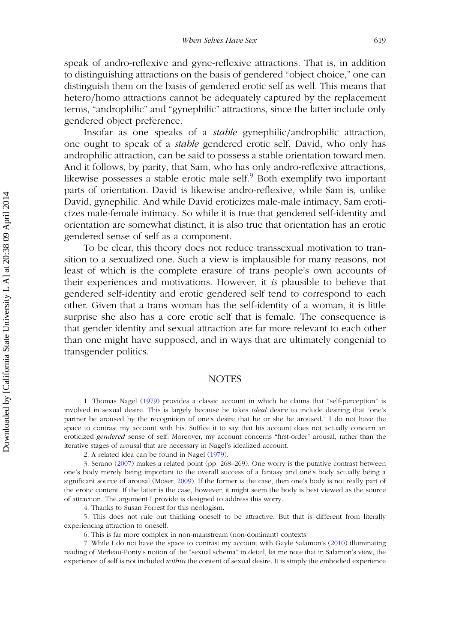speak of andro-reflexive and gyne-reflexive attractions. That is, in addition to distinguishing attractions on the basis of gendered "object choice," one can distinguish them on the basis of gendered erotic self as well. This means that hetero*/*homo attractions cannot be adequately captured by the replacement terms, "androphilic" and "gynephilic" attractions, since the latter include only gendered object preference.

Insofar as one speaks of a *stable* gynephilic*/*androphilic attraction, one ought to speak of a *stable* gendered erotic self. David, who only has androphilic attraction, can be said to possess a stable orientation toward men. And it follows, by parity, that Sam, who has only andro-reflexive attractions, likewise possesses a stable erotic male self. $9$  Both exemplify two important parts of orientation. David is likewise andro-reflexive, while Sam is, unlike David, gynephilic. And while David eroticizes male-male intimacy, Sam eroticizes male-female intimacy. So while it is true that gendered self-identity and orientation are somewhat distinct, it is also true that orientation has an erotic gendered sense of self as a component.

To be clear, this theory does not reduce transsexual motivation to transition to a sexualized one. Such a view is implausible for many reasons, not least of which is the complete erasure of trans people's own accounts of their experiences and motivations. However, it *is* plausible to believe that gendered self-identity and erotic gendered self tend to correspond to each other. Given that a trans woman has the self-identity of a woman, it is little surprise she also has a core erotic self that is female. The consequence is that gender identity and sexual attraction are far more relevant to each other than one might have supposed, and in ways that are ultimately congenial to transgender politics.

#### **NOTES**

<span id="page-15-0"></span>1. Thomas Nagel [\(1979\)](#page-16-12) provides a classic account in which he claims that "self-perception" is involved in sexual desire. This is largely because he takes *ideal* desire to include desiring that "one's partner be aroused by the recognition of one's desire that he or she be aroused." I do not have the space to contrast my account with his. Suffice it to say that his account does not actually concern an eroticized *gendered* sense of self. Moreover, my account concerns "first-order" arousal, rather than the iterative stages of arousal that are necessary in Nagel's idealized account.

2. A related idea can be found in Nagel [\(1979\)](#page-16-12).

<span id="page-15-2"></span><span id="page-15-1"></span>3. Serano [\(2007\)](#page-16-3) makes a related point (pp. 268–269). One worry is the putative contrast between one's body merely being important to the overall success of a fantasy and one's body actually being a significant source of arousal (Moser, [2009\)](#page-16-9). If the former is the case, then one's body is not really part of the erotic content. If the latter is the case, however, it might seem the body is best viewed as the source of attraction. The argument I provide is designed to address this worry.

4. Thanks to Susan Forrest for this neologism.

<span id="page-15-4"></span><span id="page-15-3"></span>5. This does not rule out thinking oneself to be attractive. But that is different from literally experiencing attraction to oneself.

6. This is far more complex in non-mainstream (non-dominant) contexts.

<span id="page-15-6"></span><span id="page-15-5"></span>7. While I do not have the space to contrast my account with Gayle Salamon's [\(2010\)](#page-16-13) illuminating reading of Merleau-Ponty's notion of the "sexual schema" in detail, let me note that in Salamon's view, the experience of self is not included *within* the content of sexual desire. It is simply the embodied experience